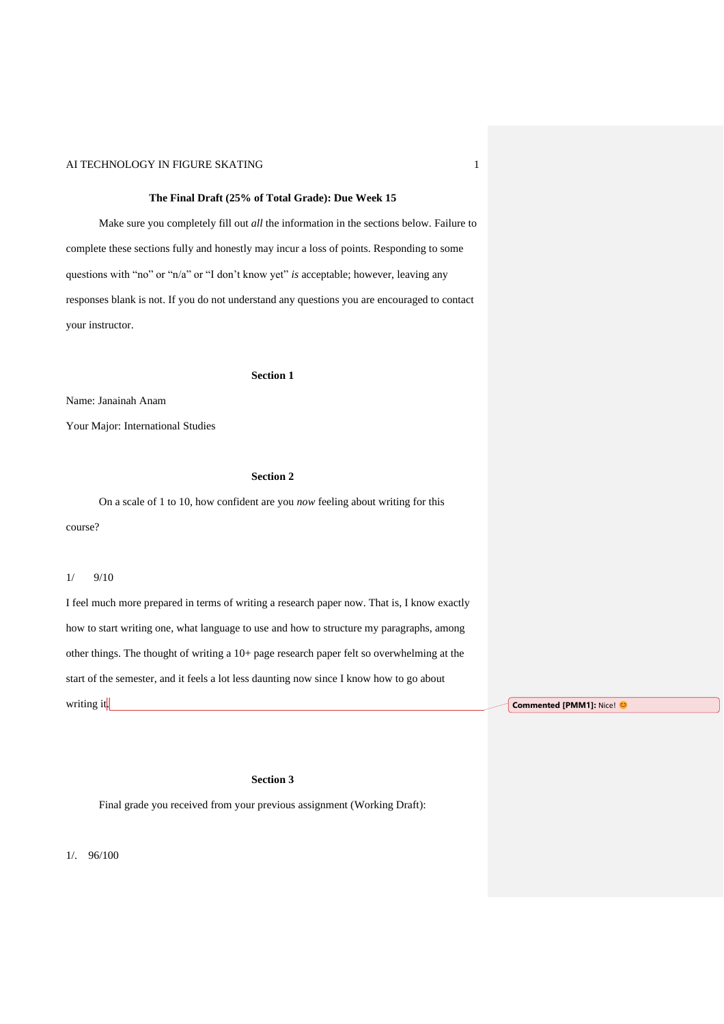### **The Final Draft (25% of Total Grade): Due Week 15**

Make sure you completely fill out *all* the information in the sections below. Failure to complete these sections fully and honestly may incur a loss of points. Responding to some questions with "no" or "n/a" or "I don't know yet" *is* acceptable; however, leaving any responses blank is not. If you do not understand any questions you are encouraged to contact your instructor.

#### **Section 1**

Name: Janainah Anam

Your Major: International Studies

# **Section 2**

On a scale of 1 to 10, how confident are you *now* feeling about writing for this course?

### 1/ 9/10

I feel much more prepared in terms of writing a research paper now. That is, I know exactly how to start writing one, what language to use and how to structure my paragraphs, among other things. The thought of writing a 10+ page research paper felt so overwhelming at the start of the semester, and it feels a lot less daunting now since I know how to go about writing it.

**Commented [PMM1]:** Nice!

## **Section 3**

Final grade you received from your previous assignment (Working Draft):

1/. 96/100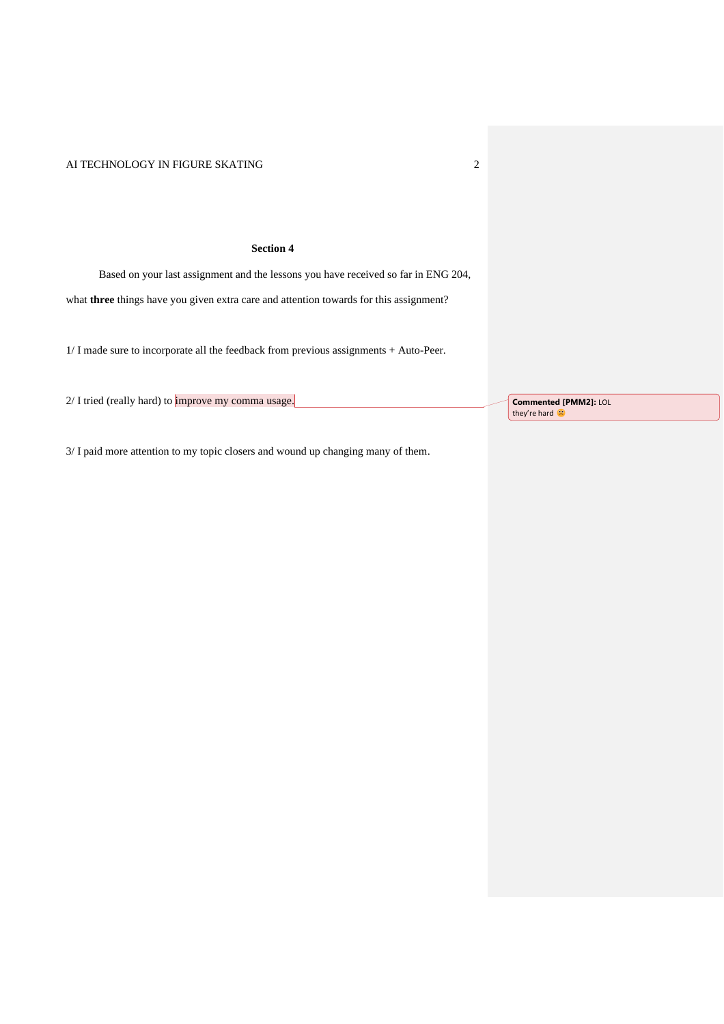### **Section 4**

Based on your last assignment and the lessons you have received so far in ENG 204,

what **three** things have you given extra care and attention towards for this assignment?

1/ I made sure to incorporate all the feedback from previous assignments + Auto-Peer.

2/ I tried (really hard) to *improve my comma usage*.

**Commented [PMM2]:** LOL they're hard

3/ I paid more attention to my topic closers and wound up changing many of them.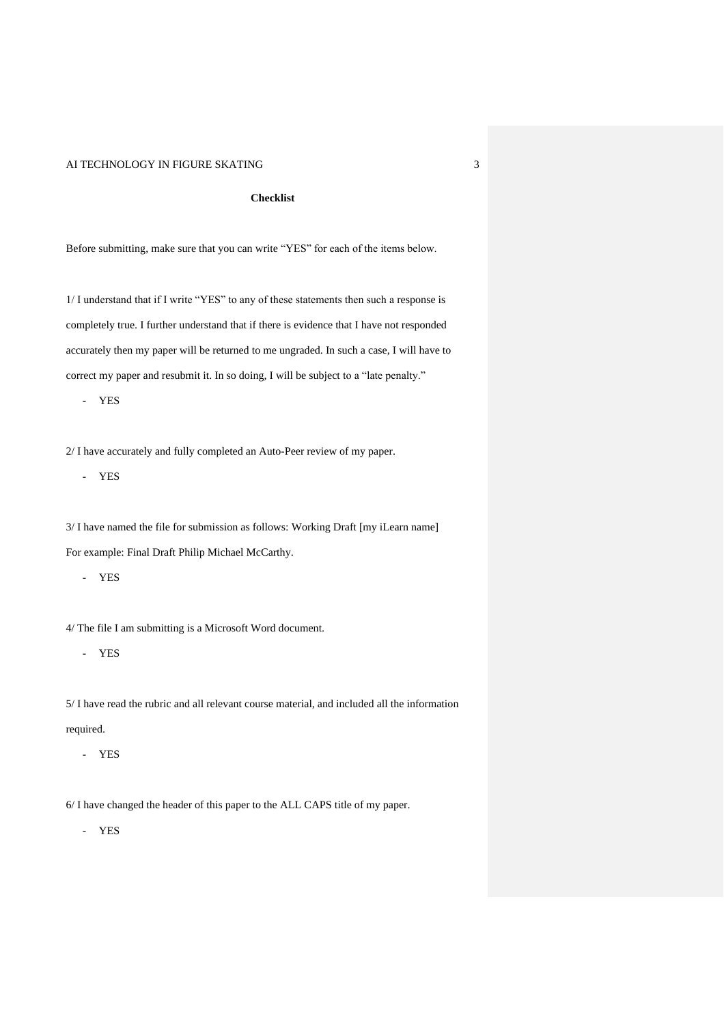### **Checklist**

Before submitting, make sure that you can write "YES" for each of the items below.

1/ I understand that if I write "YES" to any of these statements then such a response is completely true. I further understand that if there is evidence that I have not responded accurately then my paper will be returned to me ungraded. In such a case, I will have to correct my paper and resubmit it. In so doing, I will be subject to a "late penalty."

- YES

2/ I have accurately and fully completed an Auto-Peer review of my paper.

- YES

3/ I have named the file for submission as follows: Working Draft [my iLearn name] For example: Final Draft Philip Michael McCarthy.

- YES

4/ The file I am submitting is a Microsoft Word document.

- YES

5/ I have read the rubric and all relevant course material, and included all the information required.

- YES

6/ I have changed the header of this paper to the ALL CAPS title of my paper.

- YES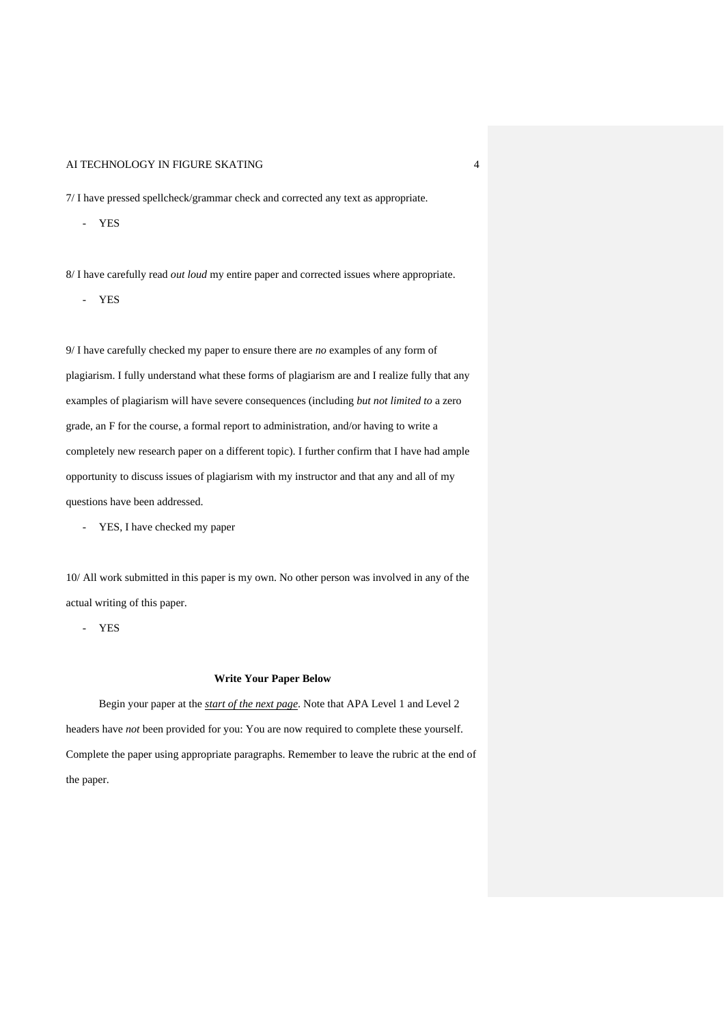7/ I have pressed spellcheck/grammar check and corrected any text as appropriate.

- YES

8/ I have carefully read *out loud* my entire paper and corrected issues where appropriate.

- YES

9/ I have carefully checked my paper to ensure there are *no* examples of any form of plagiarism. I fully understand what these forms of plagiarism are and I realize fully that any examples of plagiarism will have severe consequences (including *but not limited to* a zero grade, an F for the course, a formal report to administration, and/or having to write a completely new research paper on a different topic). I further confirm that I have had ample opportunity to discuss issues of plagiarism with my instructor and that any and all of my questions have been addressed.

- YES, I have checked my paper

10/ All work submitted in this paper is my own. No other person was involved in any of the actual writing of this paper.

- YES

#### **Write Your Paper Below**

Begin your paper at the *start of the next page*. Note that APA Level 1 and Level 2 headers have *not* been provided for you: You are now required to complete these yourself. Complete the paper using appropriate paragraphs. Remember to leave the rubric at the end of the paper.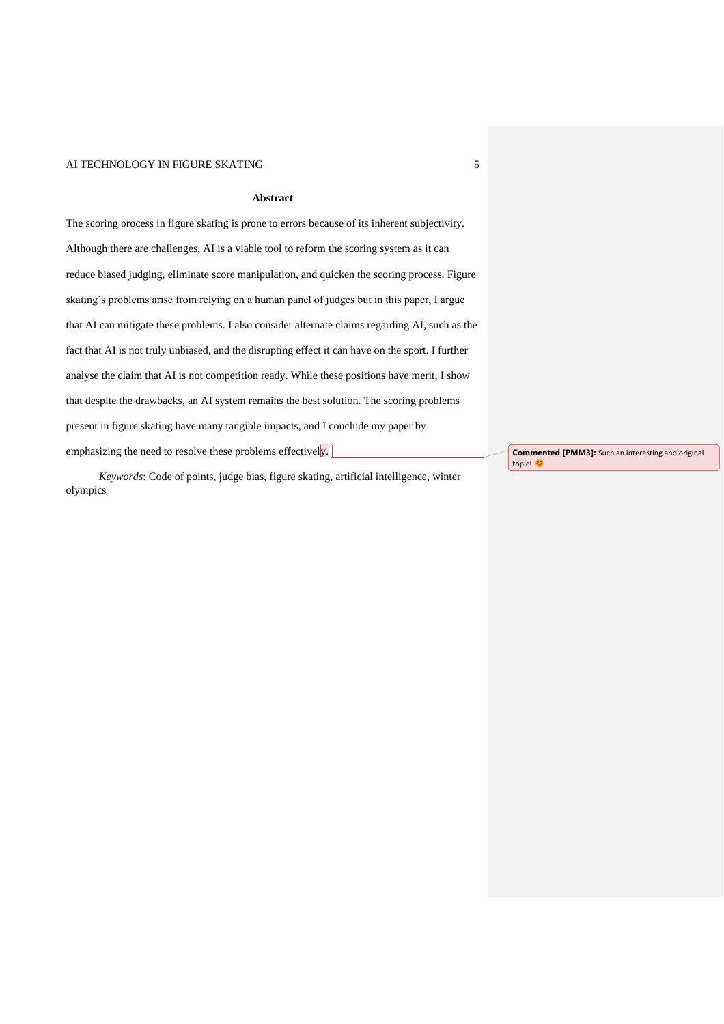### **Abstract**

The scoring process in figure skating is prone to errors because of its inherent subjectivity. Although there are challenges, AI is a viable tool to reform the scoring system as it can reduce biased judging, eliminate score manipulation, and quicken the scoring process. Figure skating's problems arise from relying on a human panel of judges but in this paper, I argue that AI can mitigate these problems. I also consider alternate claims regarding AI, such as the fact that AI is not truly unbiased, and the disrupting effect it can have on the sport. I further analyse the claim that AI is not competition ready. While these positions have merit, I show that despite the drawbacks, an AI system remains the best solution. The scoring problems present in figure skating have many tangible impacts, and I conclude my paper by emphasizing the need to resolve these problems effectively.

*Keywords*: Code of points, judge bias, figure skating, artificial intelligence, winter olympics

**Commented [PMM3]:** Such an interesting and original topic! ©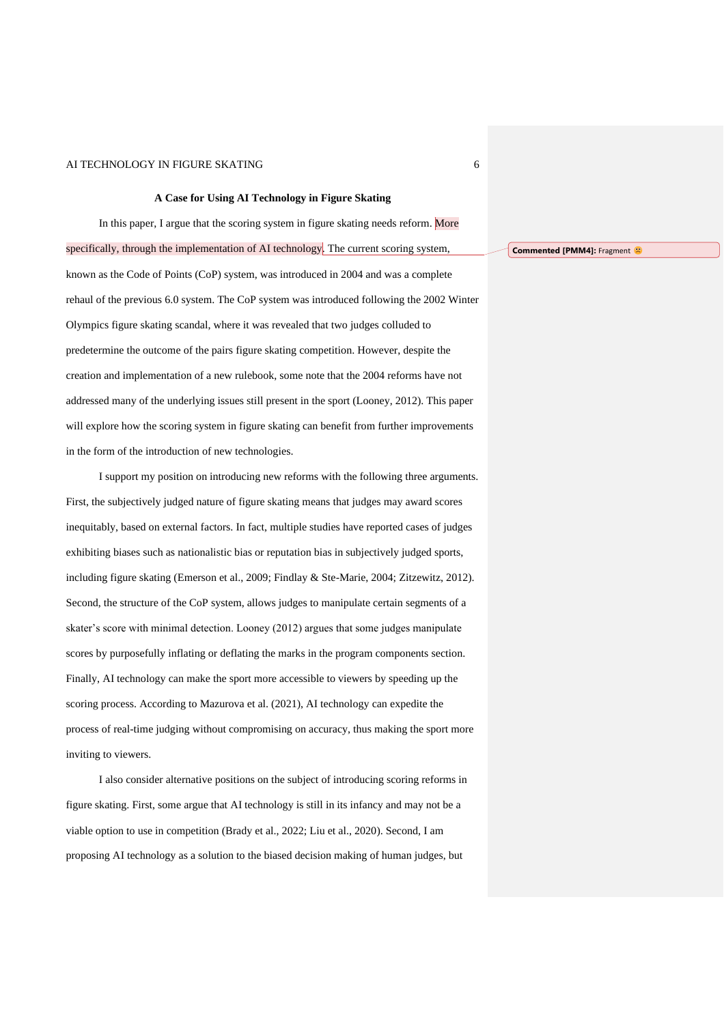#### **A Case for Using AI Technology in Figure Skating**

In this paper, I argue that the scoring system in figure skating needs reform. More specifically, through the implementation of AI technology. The current scoring system, known as the Code of Points (CoP) system, was introduced in 2004 and was a complete rehaul of the previous 6.0 system. The CoP system was introduced following the 2002 Winter Olympics figure skating scandal, where it was revealed that two judges colluded to predetermine the outcome of the pairs figure skating competition. However, despite the creation and implementation of a new rulebook, some note that the 2004 reforms have not addressed many of the underlying issues still present in the sport (Looney, 2012). This paper will explore how the scoring system in figure skating can benefit from further improvements in the form of the introduction of new technologies.

I support my position on introducing new reforms with the following three arguments. First, the subjectively judged nature of figure skating means that judges may award scores inequitably, based on external factors. In fact, multiple studies have reported cases of judges exhibiting biases such as nationalistic bias or reputation bias in subjectively judged sports, including figure skating (Emerson et al., 2009; Findlay & Ste-Marie, 2004; Zitzewitz, 2012). Second, the structure of the CoP system, allows judges to manipulate certain segments of a skater's score with minimal detection. Looney (2012) argues that some judges manipulate scores by purposefully inflating or deflating the marks in the program components section. Finally, AI technology can make the sport more accessible to viewers by speeding up the scoring process. According to Mazurova et al. (2021), AI technology can expedite the process of real-time judging without compromising on accuracy, thus making the sport more inviting to viewers.

I also consider alternative positions on the subject of introducing scoring reforms in figure skating. First, some argue that AI technology is still in its infancy and may not be a viable option to use in competition (Brady et al., 2022; Liu et al., 2020). Second, I am proposing AI technology as a solution to the biased decision making of human judges, but

#### **Commented [PMM4]: Fragment <sup>2</sup>**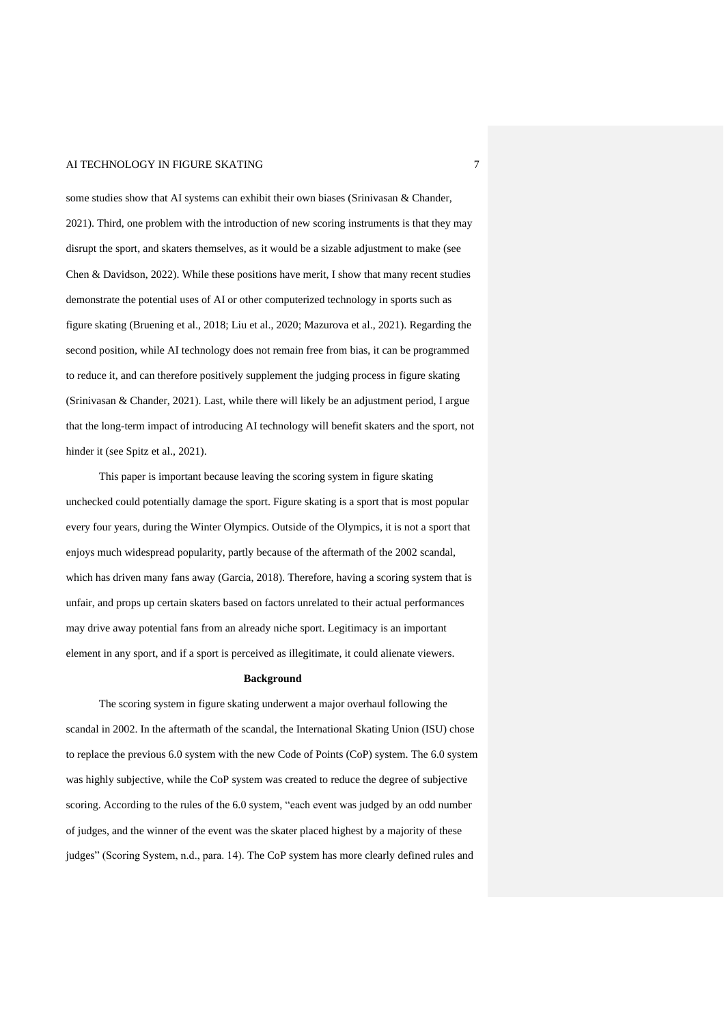some studies show that AI systems can exhibit their own biases (Srinivasan & Chander, 2021). Third, one problem with the introduction of new scoring instruments is that they may disrupt the sport, and skaters themselves, as it would be a sizable adjustment to make (see Chen & Davidson, 2022). While these positions have merit, I show that many recent studies demonstrate the potential uses of AI or other computerized technology in sports such as figure skating (Bruening et al., 2018; Liu et al., 2020; Mazurova et al., 2021). Regarding the second position, while AI technology does not remain free from bias, it can be programmed to reduce it, and can therefore positively supplement the judging process in figure skating (Srinivasan & Chander, 2021). Last, while there will likely be an adjustment period, I argue that the long-term impact of introducing AI technology will benefit skaters and the sport, not hinder it (see Spitz et al., 2021).

This paper is important because leaving the scoring system in figure skating unchecked could potentially damage the sport. Figure skating is a sport that is most popular every four years, during the Winter Olympics. Outside of the Olympics, it is not a sport that enjoys much widespread popularity, partly because of the aftermath of the 2002 scandal, which has driven many fans away (Garcia, 2018). Therefore, having a scoring system that is unfair, and props up certain skaters based on factors unrelated to their actual performances may drive away potential fans from an already niche sport. Legitimacy is an important element in any sport, and if a sport is perceived as illegitimate, it could alienate viewers.

#### **Background**

The scoring system in figure skating underwent a major overhaul following the scandal in 2002. In the aftermath of the scandal, the International Skating Union (ISU) chose to replace the previous 6.0 system with the new Code of Points (CoP) system. The 6.0 system was highly subjective, while the CoP system was created to reduce the degree of subjective scoring. According to the rules of the 6.0 system, "each event was judged by an odd number of judges, and the winner of the event was the skater placed highest by a majority of these judges" (Scoring System, n.d., para. 14). The CoP system has more clearly defined rules and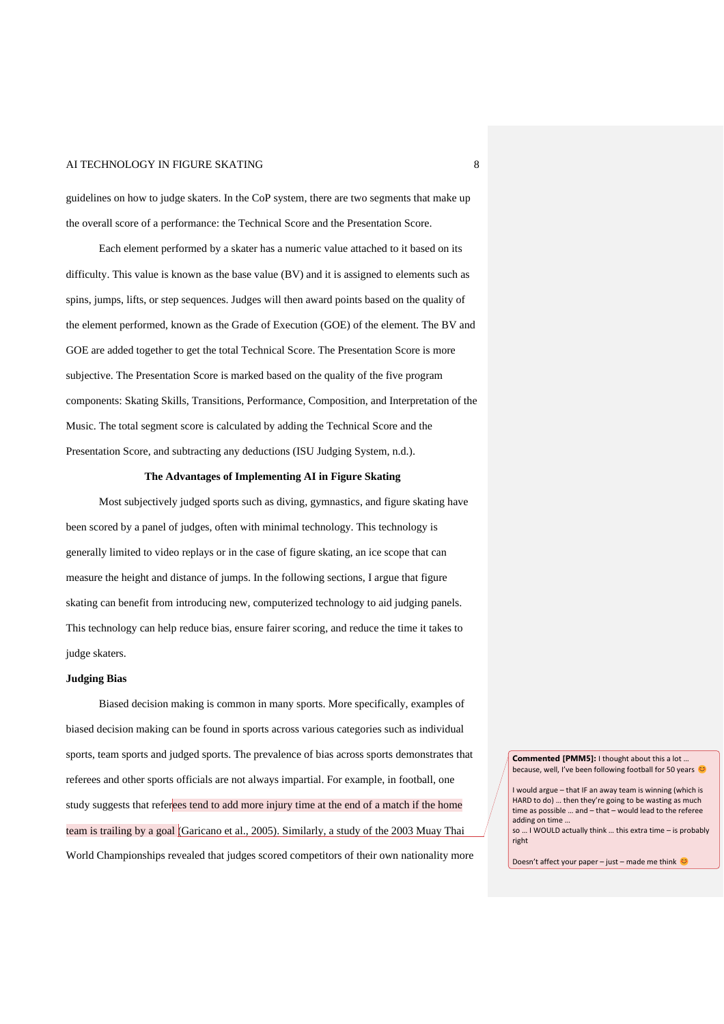guidelines on how to judge skaters. In the CoP system, there are two segments that make up the overall score of a performance: the Technical Score and the Presentation Score.

Each element performed by a skater has a numeric value attached to it based on its difficulty. This value is known as the base value (BV) and it is assigned to elements such as spins, jumps, lifts, or step sequences. Judges will then award points based on the quality of the element performed, known as the Grade of Execution (GOE) of the element. The BV and GOE are added together to get the total Technical Score. The Presentation Score is more subjective. The Presentation Score is marked based on the quality of the five program components: Skating Skills, Transitions, Performance, Composition, and Interpretation of the Music. The total segment score is calculated by adding the Technical Score and the Presentation Score, and subtracting any deductions (ISU Judging System, n.d.).

### **The Advantages of Implementing AI in Figure Skating**

Most subjectively judged sports such as diving, gymnastics, and figure skating have been scored by a panel of judges, often with minimal technology. This technology is generally limited to video replays or in the case of figure skating, an ice scope that can measure the height and distance of jumps. In the following sections, I argue that figure skating can benefit from introducing new, computerized technology to aid judging panels. This technology can help reduce bias, ensure fairer scoring, and reduce the time it takes to judge skaters.

#### **Judging Bias**

Biased decision making is common in many sports. More specifically, examples of biased decision making can be found in sports across various categories such as individual sports, team sports and judged sports. The prevalence of bias across sports demonstrates that referees and other sports officials are not always impartial. For example, in football, one study suggests that referees tend to add more injury time at the end of a match if the home team is trailing by a goal (Garicano et al., 2005). Similarly, a study of the 2003 Muay Thai World Championships revealed that judges scored competitors of their own nationality more

**Commented [PMM5]:** I thought about this a lot … because, well, I've been following football for 50 years

I would argue – that IF an away team is winning (which is HARD to do) … then they're going to be wasting as much time as possible … and – that – would lead to the referee adding on time …

so … I WOULD actually think … this extra time – is probably right

Doesn't affect your paper – just – made me think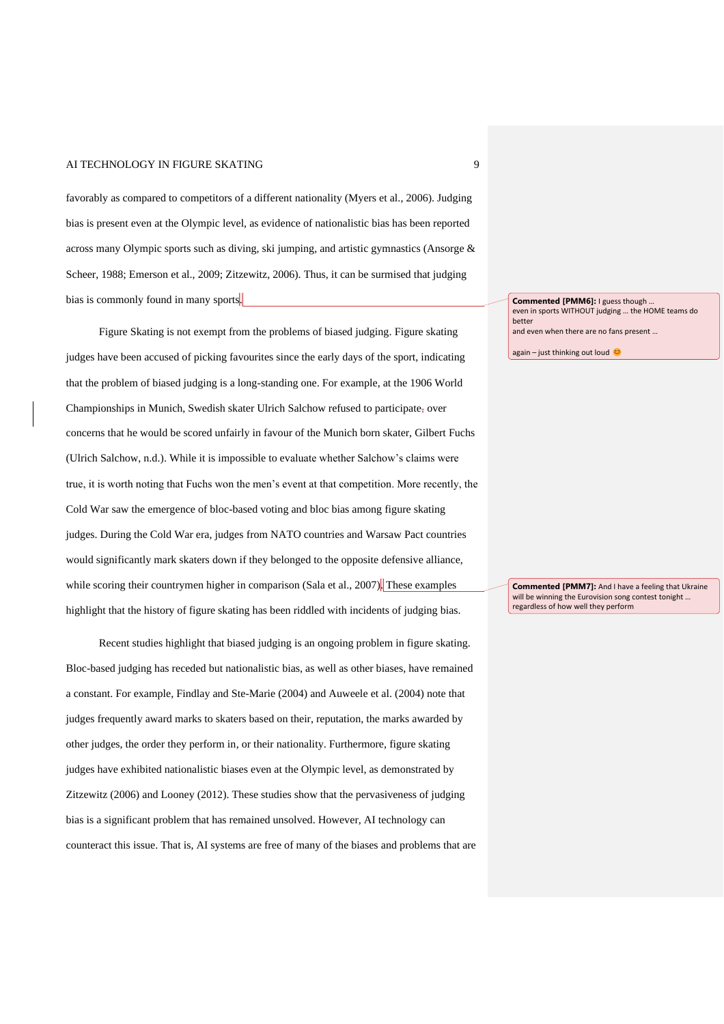favorably as compared to competitors of a different nationality (Myers et al., 2006). Judging bias is present even at the Olympic level, as evidence of nationalistic bias has been reported across many Olympic sports such as diving, ski jumping, and artistic gymnastics (Ansorge & Scheer, 1988; Emerson et al., 2009; Zitzewitz, 2006). Thus, it can be surmised that judging bias is commonly found in many sports.

Figure Skating is not exempt from the problems of biased judging. Figure skating judges have been accused of picking favourites since the early days of the sport, indicating that the problem of biased judging is a long-standing one. For example, at the 1906 World Championships in Munich, Swedish skater Ulrich Salchow refused to participate, over concerns that he would be scored unfairly in favour of the Munich born skater, Gilbert Fuchs (Ulrich Salchow, n.d.). While it is impossible to evaluate whether Salchow's claims were true, it is worth noting that Fuchs won the men's event at that competition. More recently, the Cold War saw the emergence of bloc-based voting and bloc bias among figure skating judges. During the Cold War era, judges from NATO countries and Warsaw Pact countries would significantly mark skaters down if they belonged to the opposite defensive alliance, while scoring their countrymen higher in comparison (Sala et al., 2007). These examples highlight that the history of figure skating has been riddled with incidents of judging bias.

Recent studies highlight that biased judging is an ongoing problem in figure skating. Bloc-based judging has receded but nationalistic bias, as well as other biases, have remained a constant. For example, Findlay and Ste-Marie (2004) and Auweele et al. (2004) note that judges frequently award marks to skaters based on their, reputation, the marks awarded by other judges, the order they perform in, or their nationality. Furthermore, figure skating judges have exhibited nationalistic biases even at the Olympic level, as demonstrated by Zitzewitz (2006) and Looney (2012). These studies show that the pervasiveness of judging bias is a significant problem that has remained unsolved. However, AI technology can counteract this issue. That is, AI systems are free of many of the biases and problems that are **Commented [PMM6]:** I guess though … even in sports WITHOUT judging … the HOME teams do better and even when there are no fans present …

again – just thinking out loud

**Commented [PMM7]:** And I have a feeling that Ukraine will be winning the Eurovision song contest tonight … regardless of how well they perform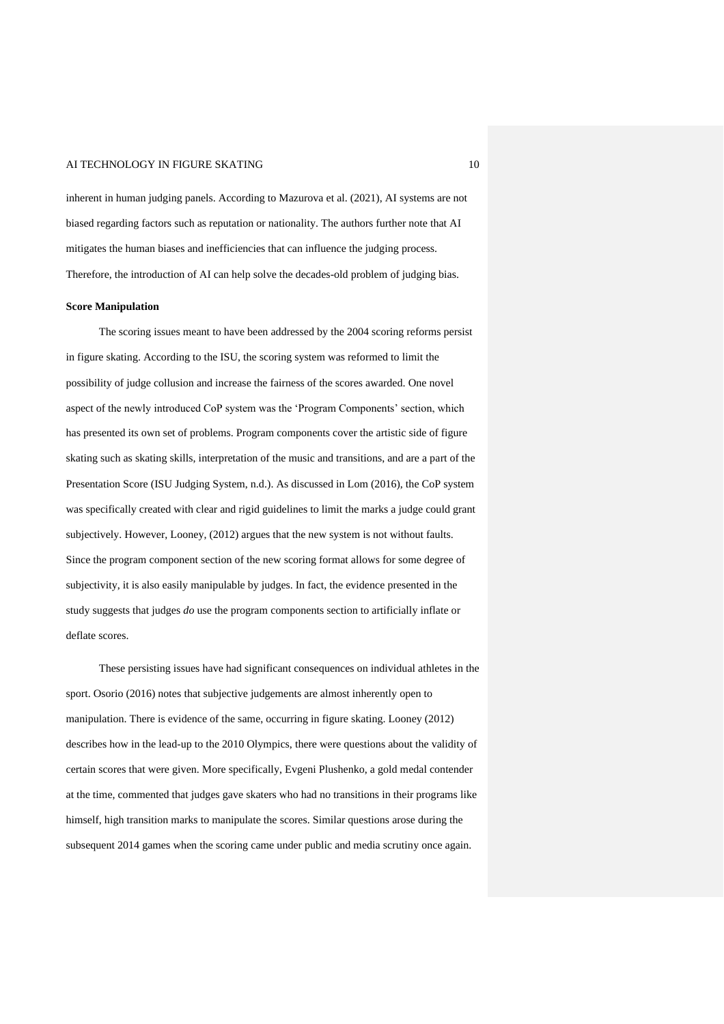inherent in human judging panels. According to Mazurova et al. (2021), AI systems are not biased regarding factors such as reputation or nationality. The authors further note that AI mitigates the human biases and inefficiencies that can influence the judging process. Therefore, the introduction of AI can help solve the decades-old problem of judging bias.

#### **Score Manipulation**

The scoring issues meant to have been addressed by the 2004 scoring reforms persist in figure skating. According to the ISU, the scoring system was reformed to limit the possibility of judge collusion and increase the fairness of the scores awarded. One novel aspect of the newly introduced CoP system was the 'Program Components' section, which has presented its own set of problems. Program components cover the artistic side of figure skating such as skating skills, interpretation of the music and transitions, and are a part of the Presentation Score (ISU Judging System, n.d.). As discussed in Lom (2016), the CoP system was specifically created with clear and rigid guidelines to limit the marks a judge could grant subjectively. However, Looney, (2012) argues that the new system is not without faults. Since the program component section of the new scoring format allows for some degree of subjectivity, it is also easily manipulable by judges. In fact, the evidence presented in the study suggests that judges *do* use the program components section to artificially inflate or deflate scores.

These persisting issues have had significant consequences on individual athletes in the sport. Osorio (2016) notes that subjective judgements are almost inherently open to manipulation. There is evidence of the same, occurring in figure skating. Looney (2012) describes how in the lead-up to the 2010 Olympics, there were questions about the validity of certain scores that were given. More specifically, Evgeni Plushenko, a gold medal contender at the time, commented that judges gave skaters who had no transitions in their programs like himself, high transition marks to manipulate the scores. Similar questions arose during the subsequent 2014 games when the scoring came under public and media scrutiny once again.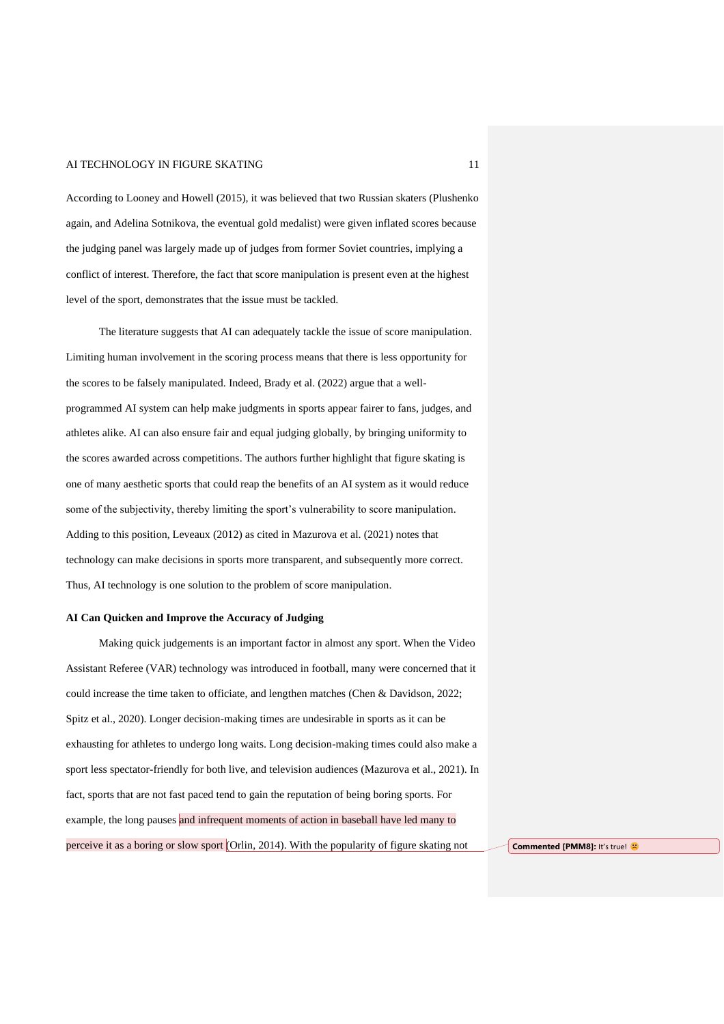According to Looney and Howell (2015), it was believed that two Russian skaters (Plushenko again, and Adelina Sotnikova, the eventual gold medalist) were given inflated scores because the judging panel was largely made up of judges from former Soviet countries, implying a conflict of interest. Therefore, the fact that score manipulation is present even at the highest level of the sport, demonstrates that the issue must be tackled.

The literature suggests that AI can adequately tackle the issue of score manipulation. Limiting human involvement in the scoring process means that there is less opportunity for the scores to be falsely manipulated. Indeed, Brady et al. (2022) argue that a wellprogrammed AI system can help make judgments in sports appear fairer to fans, judges, and athletes alike. AI can also ensure fair and equal judging globally, by bringing uniformity to the scores awarded across competitions. The authors further highlight that figure skating is one of many aesthetic sports that could reap the benefits of an AI system as it would reduce some of the subjectivity, thereby limiting the sport's vulnerability to score manipulation. Adding to this position, Leveaux (2012) as cited in Mazurova et al. (2021) notes that technology can make decisions in sports more transparent, and subsequently more correct. Thus, AI technology is one solution to the problem of score manipulation.

### **AI Can Quicken and Improve the Accuracy of Judging**

Making quick judgements is an important factor in almost any sport. When the Video Assistant Referee (VAR) technology was introduced in football, many were concerned that it could increase the time taken to officiate, and lengthen matches (Chen & Davidson, 2022; Spitz et al., 2020). Longer decision-making times are undesirable in sports as it can be exhausting for athletes to undergo long waits. Long decision-making times could also make a sport less spectator-friendly for both live, and television audiences (Mazurova et al., 2021). In fact, sports that are not fast paced tend to gain the reputation of being boring sports. For example, the long pauses and infrequent moments of action in baseball have led many to perceive it as a boring or slow sport (Orlin, 2014). With the popularity of figure skating not **Commented [PMM8]:** It's true!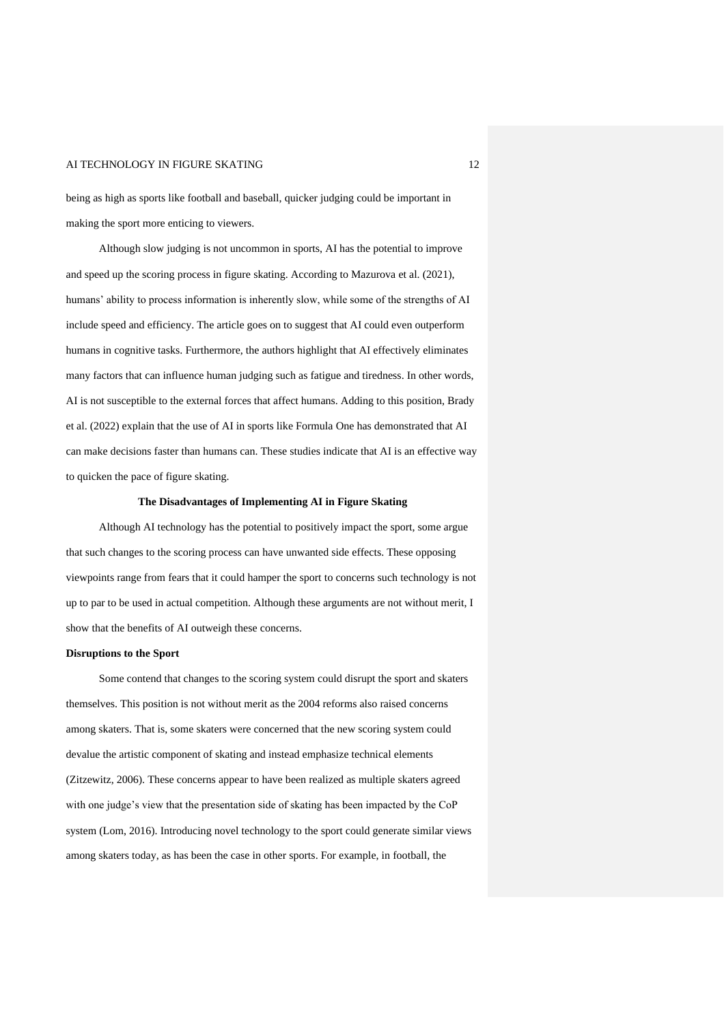being as high as sports like football and baseball, quicker judging could be important in making the sport more enticing to viewers.

Although slow judging is not uncommon in sports, AI has the potential to improve and speed up the scoring process in figure skating. According to Mazurova et al. (2021), humans' ability to process information is inherently slow, while some of the strengths of AI include speed and efficiency. The article goes on to suggest that AI could even outperform humans in cognitive tasks. Furthermore, the authors highlight that AI effectively eliminates many factors that can influence human judging such as fatigue and tiredness. In other words, AI is not susceptible to the external forces that affect humans. Adding to this position, Brady et al. (2022) explain that the use of AI in sports like Formula One has demonstrated that AI can make decisions faster than humans can. These studies indicate that AI is an effective way to quicken the pace of figure skating.

### **The Disadvantages of Implementing AI in Figure Skating**

Although AI technology has the potential to positively impact the sport, some argue that such changes to the scoring process can have unwanted side effects. These opposing viewpoints range from fears that it could hamper the sport to concerns such technology is not up to par to be used in actual competition. Although these arguments are not without merit, I show that the benefits of AI outweigh these concerns.

#### **Disruptions to the Sport**

Some contend that changes to the scoring system could disrupt the sport and skaters themselves. This position is not without merit as the 2004 reforms also raised concerns among skaters. That is, some skaters were concerned that the new scoring system could devalue the artistic component of skating and instead emphasize technical elements (Zitzewitz, 2006). These concerns appear to have been realized as multiple skaters agreed with one judge's view that the presentation side of skating has been impacted by the CoP system (Lom, 2016). Introducing novel technology to the sport could generate similar views among skaters today, as has been the case in other sports. For example, in football, the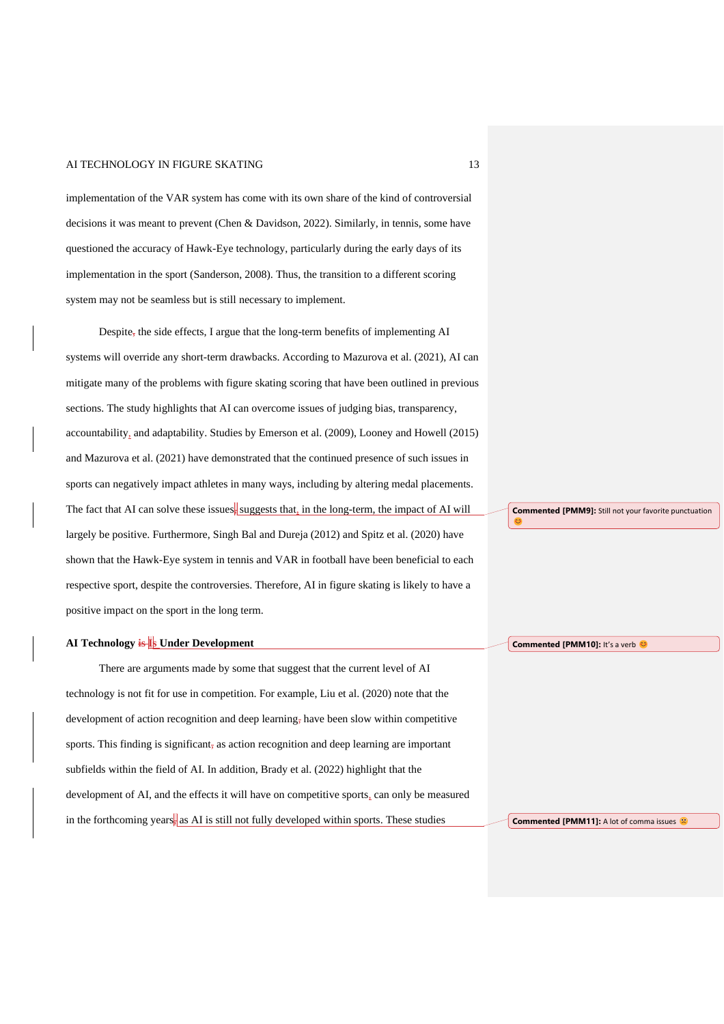implementation of the VAR system has come with its own share of the kind of controversial decisions it was meant to prevent (Chen & Davidson, 2022). Similarly, in tennis, some have questioned the accuracy of Hawk-Eye technology, particularly during the early days of its implementation in the sport (Sanderson, 2008). Thus, the transition to a different scoring system may not be seamless but is still necessary to implement.

Despite, the side effects, I argue that the long-term benefits of implementing AI systems will override any short-term drawbacks. According to Mazurova et al. (2021), AI can mitigate many of the problems with figure skating scoring that have been outlined in previous sections. The study highlights that AI can overcome issues of judging bias, transparency, accountability, and adaptability. Studies by Emerson et al. (2009), Looney and Howell (2015) and Mazurova et al. (2021) have demonstrated that the continued presence of such issues in sports can negatively impact athletes in many ways, including by altering medal placements. The fact that AI can solve these issues, suggests that, in the long-term, the impact of AI will largely be positive. Furthermore, Singh Bal and Dureja (2012) and Spitz et al. (2020) have shown that the Hawk-Eye system in tennis and VAR in football have been beneficial to each respective sport, despite the controversies. Therefore, AI in figure skating is likely to have a positive impact on the sport in the long term.

### **AI Technology is Is Under Development**

There are arguments made by some that suggest that the current level of AI technology is not fit for use in competition. For example, Liu et al. (2020) note that the development of action recognition and deep learning, have been slow within competitive sports. This finding is significant, as action recognition and deep learning are important subfields within the field of AI. In addition, Brady et al. (2022) highlight that the development of AI, and the effects it will have on competitive sports, can only be measured in the forthcoming years, as AI is still not fully developed within sports. These studies

**Commented [PMM9]:** Still not your favorite punctuation

**Commented [PMM10]:** It's a verb

C

**Commented [PMM11]:** A lot of comma issues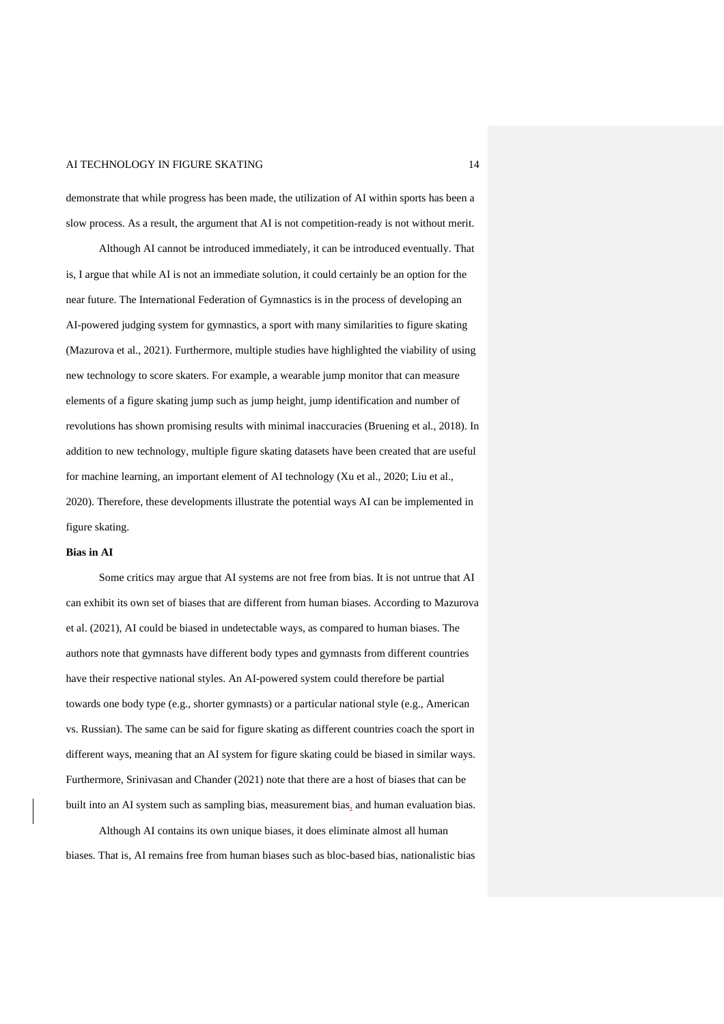demonstrate that while progress has been made, the utilization of AI within sports has been a slow process. As a result, the argument that AI is not competition-ready is not without merit.

Although AI cannot be introduced immediately, it can be introduced eventually. That is, I argue that while AI is not an immediate solution, it could certainly be an option for the near future. The International Federation of Gymnastics is in the process of developing an AI-powered judging system for gymnastics, a sport with many similarities to figure skating (Mazurova et al., 2021). Furthermore, multiple studies have highlighted the viability of using new technology to score skaters. For example, a wearable jump monitor that can measure elements of a figure skating jump such as jump height, jump identification and number of revolutions has shown promising results with minimal inaccuracies (Bruening et al., 2018). In addition to new technology, multiple figure skating datasets have been created that are useful for machine learning, an important element of AI technology (Xu et al., 2020; Liu et al., 2020). Therefore, these developments illustrate the potential ways AI can be implemented in figure skating.

### **Bias in AI**

Some critics may argue that AI systems are not free from bias. It is not untrue that AI can exhibit its own set of biases that are different from human biases. According to Mazurova et al. (2021), AI could be biased in undetectable ways, as compared to human biases. The authors note that gymnasts have different body types and gymnasts from different countries have their respective national styles. An AI-powered system could therefore be partial towards one body type (e.g., shorter gymnasts) or a particular national style (e.g., American vs. Russian). The same can be said for figure skating as different countries coach the sport in different ways, meaning that an AI system for figure skating could be biased in similar ways. Furthermore, Srinivasan and Chander (2021) note that there are a host of biases that can be built into an AI system such as sampling bias, measurement bias, and human evaluation bias.

Although AI contains its own unique biases, it does eliminate almost all human biases. That is, AI remains free from human biases such as bloc-based bias, nationalistic bias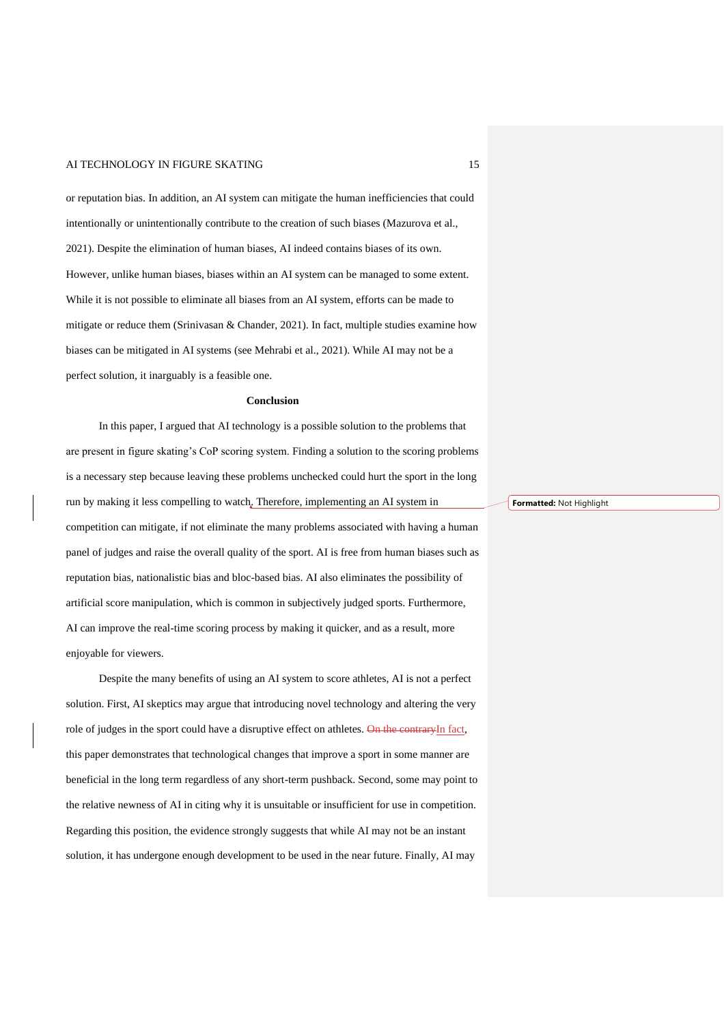or reputation bias. In addition, an AI system can mitigate the human inefficiencies that could intentionally or unintentionally contribute to the creation of such biases (Mazurova et al., 2021). Despite the elimination of human biases, AI indeed contains biases of its own. However, unlike human biases, biases within an AI system can be managed to some extent. While it is not possible to eliminate all biases from an AI system, efforts can be made to mitigate or reduce them (Srinivasan & Chander, 2021). In fact, multiple studies examine how biases can be mitigated in AI systems (see Mehrabi et al., 2021). While AI may not be a perfect solution, it inarguably is a feasible one.

#### **Conclusion**

In this paper, I argued that AI technology is a possible solution to the problems that are present in figure skating's CoP scoring system. Finding a solution to the scoring problems is a necessary step because leaving these problems unchecked could hurt the sport in the long run by making it less compelling to watch. Therefore, implementing an AI system in competition can mitigate, if not eliminate the many problems associated with having a human panel of judges and raise the overall quality of the sport. AI is free from human biases such as reputation bias, nationalistic bias and bloc-based bias. AI also eliminates the possibility of artificial score manipulation, which is common in subjectively judged sports. Furthermore, AI can improve the real-time scoring process by making it quicker, and as a result, more enjoyable for viewers.

Despite the many benefits of using an AI system to score athletes, AI is not a perfect solution. First, AI skeptics may argue that introducing novel technology and altering the very role of judges in the sport could have a disruptive effect on athletes. On the contraryIn fact, this paper demonstrates that technological changes that improve a sport in some manner are beneficial in the long term regardless of any short-term pushback. Second, some may point to the relative newness of AI in citing why it is unsuitable or insufficient for use in competition. Regarding this position, the evidence strongly suggests that while AI may not be an instant solution, it has undergone enough development to be used in the near future. Finally, AI may

**Formatted:** Not Highlight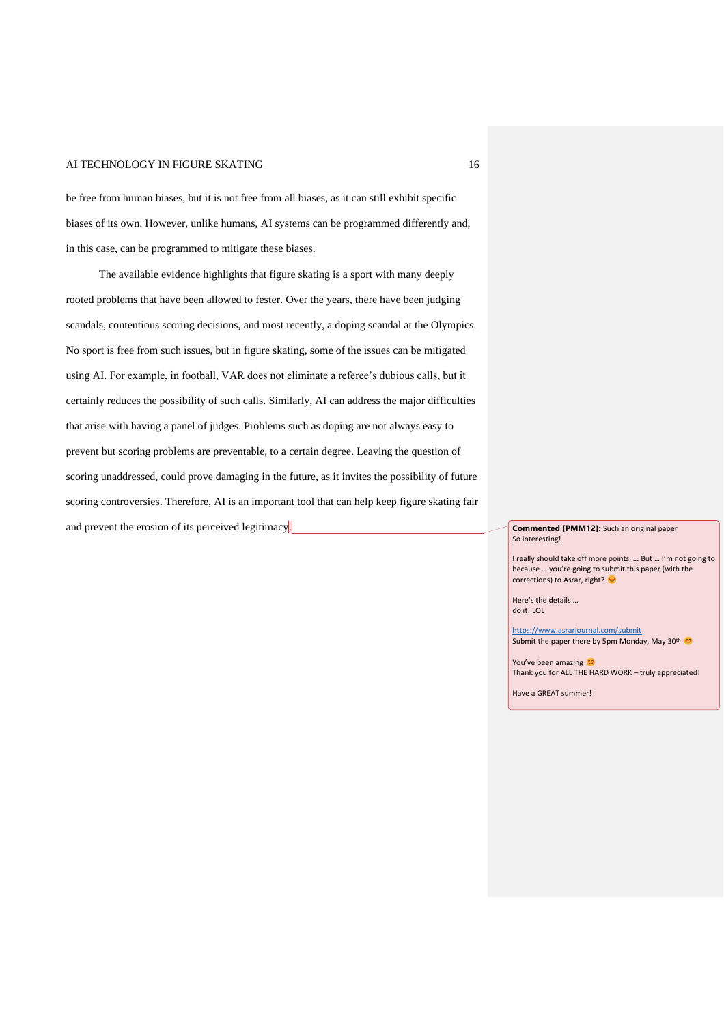be free from human biases, but it is not free from all biases, as it can still exhibit specific biases of its own. However, unlike humans, AI systems can be programmed differently and, in this case, can be programmed to mitigate these biases.

The available evidence highlights that figure skating is a sport with many deeply rooted problems that have been allowed to fester. Over the years, there have been judging scandals, contentious scoring decisions, and most recently, a doping scandal at the Olympics. No sport is free from such issues, but in figure skating, some of the issues can be mitigated using AI. For example, in football, VAR does not eliminate a referee's dubious calls, but it certainly reduces the possibility of such calls. Similarly, AI can address the major difficulties that arise with having a panel of judges. Problems such as doping are not always easy to prevent but scoring problems are preventable, to a certain degree. Leaving the question of scoring unaddressed, could prove damaging in the future, as it invites the possibility of future scoring controversies. Therefore, AI is an important tool that can help keep figure skating fair and prevent the erosion of its perceived legitimacy. **Commented [PMM12]:** Such an original paper

So interesting!

I really should take off more points …. But … I'm not going to because … you're going to submit this paper (with the corrections) to Asrar, right?

Here's the details … do it! LOL

<https://www.asrarjournal.com/submit> Submit the paper there by 5pm Monday, May 30th C

You've been amazing Thank you for ALL THE HARD WORK – truly appreciated!

Have a GREAT summer!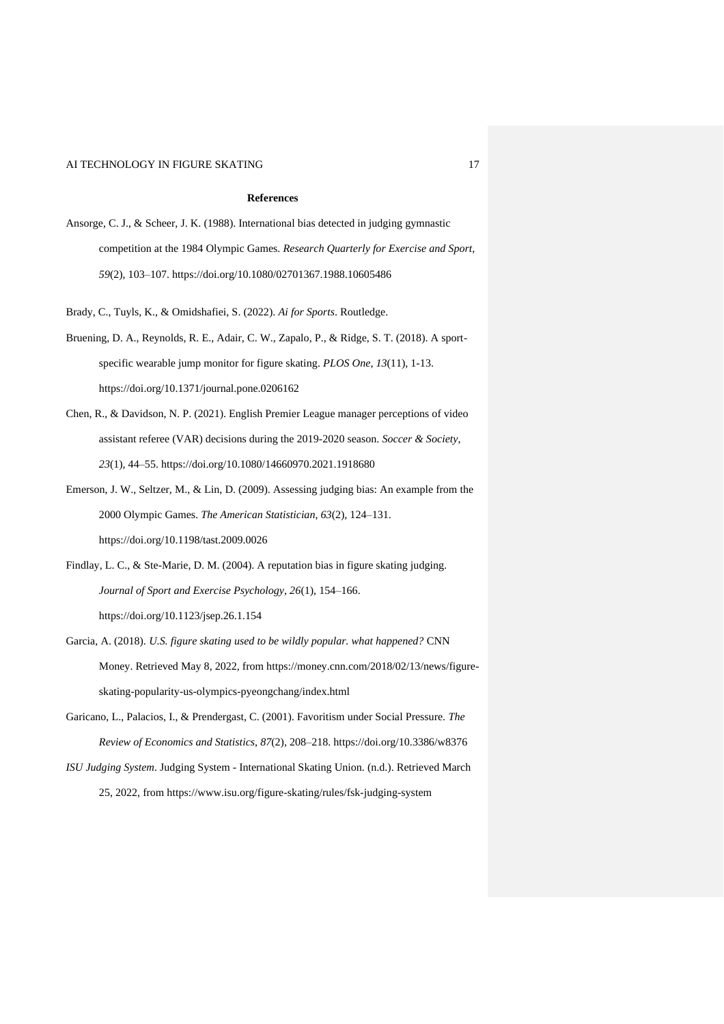## **References**

Ansorge, C. J., & Scheer, J. K. (1988). International bias detected in judging gymnastic competition at the 1984 Olympic Games. *Research Quarterly for Exercise and Sport*, *59*(2), 103–107. https://doi.org/10.1080/02701367.1988.10605486

Brady, C., Tuyls, K., & Omidshafiei, S. (2022). *Ai for Sports*. Routledge.

- Bruening, D. A., Reynolds, R. E., Adair, C. W., Zapalo, P., & Ridge, S. T. (2018). A sportspecific wearable jump monitor for figure skating. *PLOS One*, *13*(11), 1-13. https://doi.org/10.1371/journal.pone.0206162
- Chen, R., & Davidson, N. P. (2021). English Premier League manager perceptions of video assistant referee (VAR) decisions during the 2019-2020 season. *Soccer & Society*, *23*(1), 44–55. https://doi.org/10.1080/14660970.2021.1918680
- Emerson, J. W., Seltzer, M., & Lin, D. (2009). Assessing judging bias: An example from the 2000 Olympic Games. *The American Statistician*, *63*(2), 124–131. https://doi.org/10.1198/tast.2009.0026
- Findlay, L. C., & Ste-Marie, D. M. (2004). A reputation bias in figure skating judging. *Journal of Sport and Exercise Psychology*, *26*(1), 154–166. https://doi.org/10.1123/jsep.26.1.154
- Garcia, A. (2018). *U.S. figure skating used to be wildly popular. what happened?* CNN Money. Retrieved May 8, 2022, from https://money.cnn.com/2018/02/13/news/figureskating-popularity-us-olympics-pyeongchang/index.html
- Garicano, L., Palacios, I., & Prendergast, C. (2001). Favoritism under Social Pressure. *The Review of Economics and Statistics*, *87*(2), 208–218. https://doi.org/10.3386/w8376
- *ISU Judging System*. Judging System International Skating Union. (n.d.). Retrieved March 25, 2022, from https://www.isu.org/figure-skating/rules/fsk-judging-system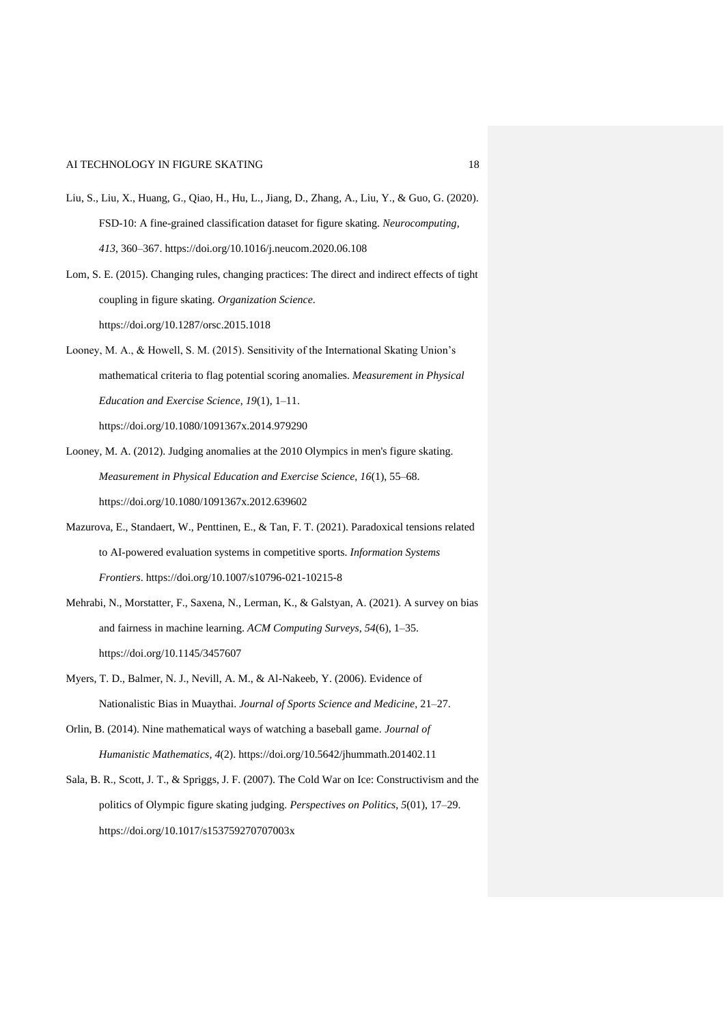- Liu, S., Liu, X., Huang, G., Qiao, H., Hu, L., Jiang, D., Zhang, A., Liu, Y., & Guo, G. (2020). FSD-10: A fine-grained classification dataset for figure skating. *Neurocomputing*, *413*, 360–367. https://doi.org/10.1016/j.neucom.2020.06.108
- Lom, S. E. (2015). Changing rules, changing practices: The direct and indirect effects of tight coupling in figure skating. *Organization Science*. https://doi.org/10.1287/orsc.2015.1018
- Looney, M. A., & Howell, S. M. (2015). Sensitivity of the International Skating Union's mathematical criteria to flag potential scoring anomalies. *Measurement in Physical Education and Exercise Science*, *19*(1), 1–11. https://doi.org/10.1080/1091367x.2014.979290
- Looney, M. A. (2012). Judging anomalies at the 2010 Olympics in men's figure skating. *Measurement in Physical Education and Exercise Science*, *16*(1), 55–68. https://doi.org/10.1080/1091367x.2012.639602
- Mazurova, E., Standaert, W., Penttinen, E., & Tan, F. T. (2021). Paradoxical tensions related to AI-powered evaluation systems in competitive sports. *Information Systems Frontiers*. https://doi.org/10.1007/s10796-021-10215-8
- Mehrabi, N., Morstatter, F., Saxena, N., Lerman, K., & Galstyan, A. (2021). A survey on bias and fairness in machine learning. *ACM Computing Surveys*, *54*(6), 1–35. https://doi.org/10.1145/3457607
- Myers, T. D., Balmer, N. J., Nevill, A. M., & Al-Nakeeb, Y. (2006). Evidence of Nationalistic Bias in Muaythai. *Journal of Sports Science and Medicine*, 21–27.
- Orlin, B. (2014). Nine mathematical ways of watching a baseball game. *Journal of Humanistic Mathematics*, *4*(2). https://doi.org/10.5642/jhummath.201402.11
- Sala, B. R., Scott, J. T., & Spriggs, J. F. (2007). The Cold War on Ice: Constructivism and the politics of Olympic figure skating judging. *Perspectives on Politics*, *5*(01), 17–29. https://doi.org/10.1017/s153759270707003x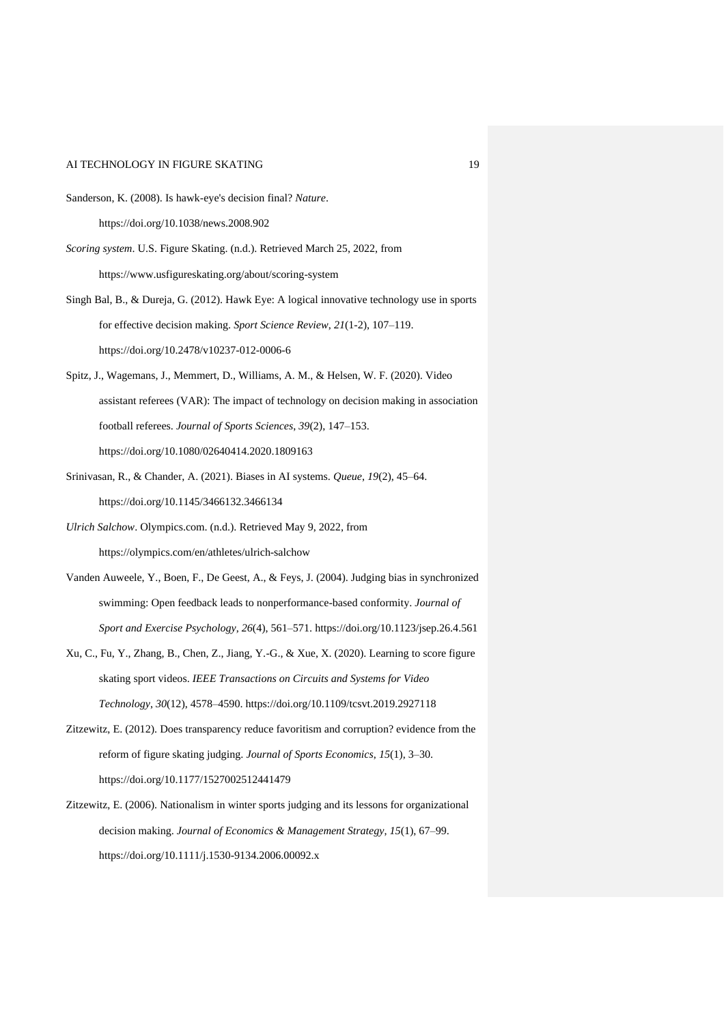- Sanderson, K. (2008). Is hawk-eye's decision final? *Nature*. https://doi.org/10.1038/news.2008.902
- *Scoring system*. U.S. Figure Skating. (n.d.). Retrieved March 25, 2022, from https://www.usfigureskating.org/about/scoring-system
- Singh Bal, B., & Dureja, G. (2012). Hawk Eye: A logical innovative technology use in sports for effective decision making. *Sport Science Review*, *21*(1-2), 107–119. https://doi.org/10.2478/v10237-012-0006-6
- Spitz, J., Wagemans, J., Memmert, D., Williams, A. M., & Helsen, W. F. (2020). Video assistant referees (VAR): The impact of technology on decision making in association football referees. *Journal of Sports Sciences*, *39*(2), 147–153. https://doi.org/10.1080/02640414.2020.1809163
- Srinivasan, R., & Chander, A. (2021). Biases in AI systems. *Queue*, *19*(2), 45–64. https://doi.org/10.1145/3466132.3466134
- *Ulrich Salchow*. Olympics.com. (n.d.). Retrieved May 9, 2022, from https://olympics.com/en/athletes/ulrich-salchow
- Vanden Auweele, Y., Boen, F., De Geest, A., & Feys, J. (2004). Judging bias in synchronized swimming: Open feedback leads to nonperformance-based conformity. *Journal of Sport and Exercise Psychology*, *26*(4), 561–571. https://doi.org/10.1123/jsep.26.4.561
- Xu, C., Fu, Y., Zhang, B., Chen, Z., Jiang, Y.-G., & Xue, X. (2020). Learning to score figure skating sport videos. *IEEE Transactions on Circuits and Systems for Video Technology*, *30*(12), 4578–4590. https://doi.org/10.1109/tcsvt.2019.2927118
- Zitzewitz, E. (2012). Does transparency reduce favoritism and corruption? evidence from the reform of figure skating judging. *Journal of Sports Economics*, *15*(1), 3–30. https://doi.org/10.1177/1527002512441479
- Zitzewitz, E. (2006). Nationalism in winter sports judging and its lessons for organizational decision making. *Journal of Economics & Management Strategy*, *15*(1), 67–99. https://doi.org/10.1111/j.1530-9134.2006.00092.x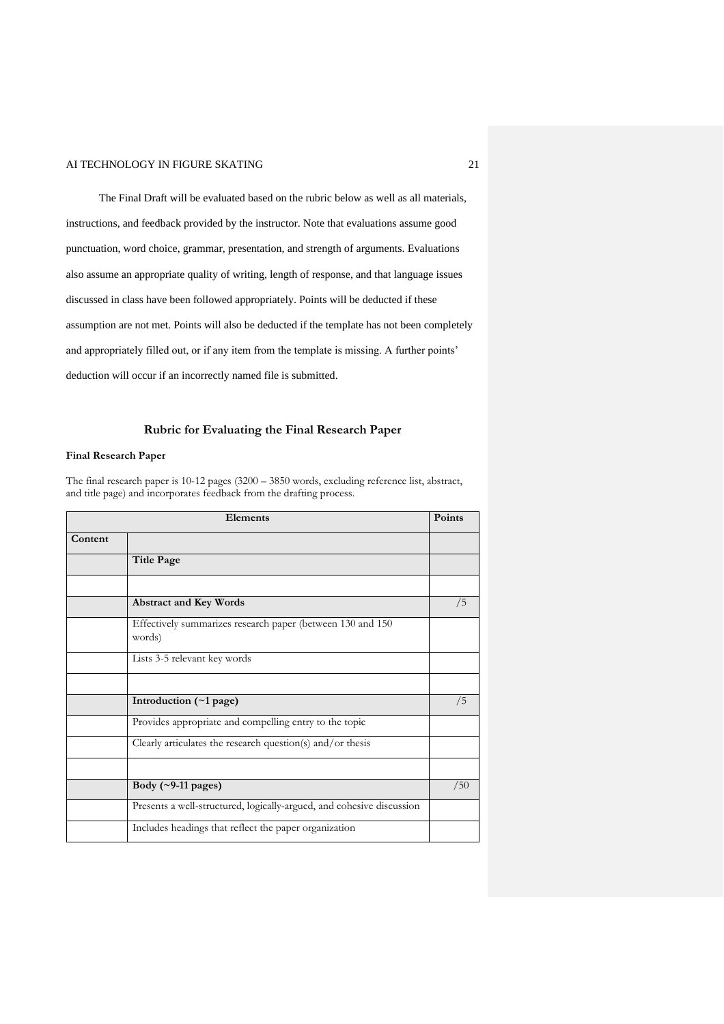The Final Draft will be evaluated based on the rubric below as well as all materials, instructions, and feedback provided by the instructor. Note that evaluations assume good punctuation, word choice, grammar, presentation, and strength of arguments. Evaluations also assume an appropriate quality of writing, length of response, and that language issues discussed in class have been followed appropriately. Points will be deducted if these assumption are not met. Points will also be deducted if the template has not been completely and appropriately filled out, or if any item from the template is missing. A further points' deduction will occur if an incorrectly named file is submitted.

### **Rubric for Evaluating the Final Research Paper**

### **Final Research Paper**

The final research paper is 10-12 pages (3200 – 3850 words, excluding reference list, abstract, and title page) and incorporates feedback from the drafting process.

| Elements |                                                                       | <b>Points</b> |
|----------|-----------------------------------------------------------------------|---------------|
| Content  |                                                                       |               |
|          | <b>Title Page</b>                                                     |               |
|          |                                                                       |               |
|          | <b>Abstract and Key Words</b>                                         | /5            |
|          | Effectively summarizes research paper (between 130 and 150<br>words)  |               |
|          | Lists 3-5 relevant key words                                          |               |
|          |                                                                       |               |
|          | Introduction $(\sim 1$ page)                                          | /5            |
|          | Provides appropriate and compelling entry to the topic                |               |
|          | Clearly articulates the research question(s) and/or thesis            |               |
|          |                                                                       |               |
|          | Body $(\sim)$ -11 pages)                                              | /50           |
|          | Presents a well-structured, logically-argued, and cohesive discussion |               |
|          | Includes headings that reflect the paper organization                 |               |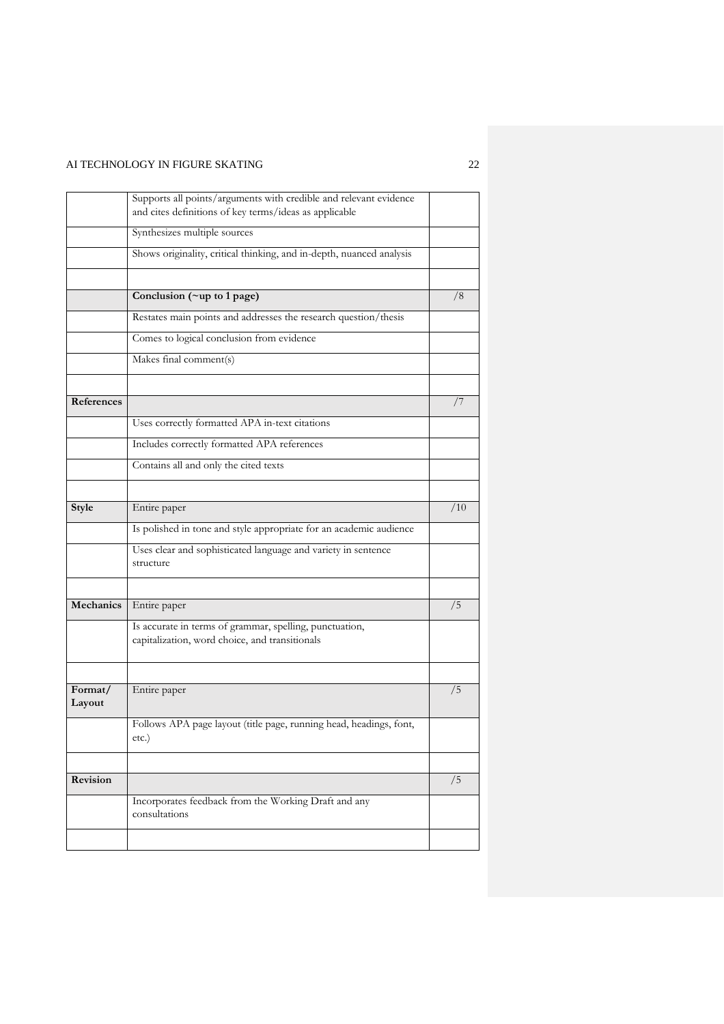|                   | Supports all points/arguments with credible and relevant evidence<br>and cites definitions of key terms/ideas as applicable |     |
|-------------------|-----------------------------------------------------------------------------------------------------------------------------|-----|
|                   | Synthesizes multiple sources                                                                                                |     |
|                   | Shows originality, critical thinking, and in-depth, nuanced analysis                                                        |     |
|                   |                                                                                                                             |     |
|                   | Conclusion (~up to 1 page)                                                                                                  | /8  |
|                   | Restates main points and addresses the research question/thesis                                                             |     |
|                   | Comes to logical conclusion from evidence                                                                                   |     |
|                   | Makes final comment(s)                                                                                                      |     |
|                   |                                                                                                                             |     |
| References        |                                                                                                                             | 77  |
|                   | Uses correctly formatted APA in-text citations                                                                              |     |
|                   | Includes correctly formatted APA references                                                                                 |     |
|                   | Contains all and only the cited texts                                                                                       |     |
|                   |                                                                                                                             |     |
| Style             | Entire paper                                                                                                                | /10 |
|                   | Is polished in tone and style appropriate for an academic audience                                                          |     |
|                   | Uses clear and sophisticated language and variety in sentence<br>structure                                                  |     |
|                   |                                                                                                                             |     |
| Mechanics         | Entire paper                                                                                                                | /5  |
|                   | Is accurate in terms of grammar, spelling, punctuation,<br>capitalization, word choice, and transitionals                   |     |
|                   |                                                                                                                             |     |
| Format/<br>Layout | Entire paper                                                                                                                | /5  |
|                   | Follows APA page layout (title page, running head, headings, font,<br>etc.)                                                 |     |
|                   |                                                                                                                             |     |
| Revision          |                                                                                                                             | /5  |
|                   | Incorporates feedback from the Working Draft and any<br>consultations                                                       |     |
|                   |                                                                                                                             |     |
|                   |                                                                                                                             |     |